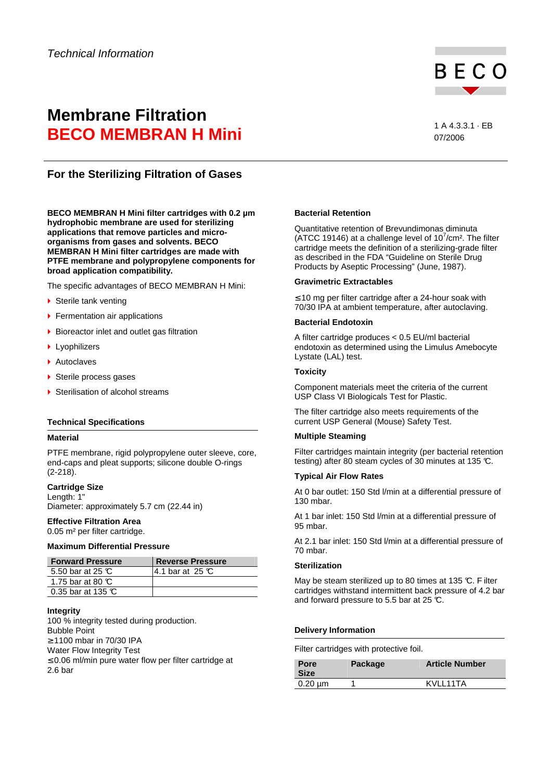

# **Membrane Filtration BECO MEMBRAN H Mini** 1 A 4.3.3.1 · EB

07/2006

## **For the Sterilizing Filtration of Gases**

**BECO MEMBRAN H Mini filter cartridges with 0.2 µm hydrophobic membrane are used for sterilizing applications that remove particles and microorganisms from gases and solvents. BECO MEMBRAN H Mini filter cartridges are made with PTFE membrane and polypropylene components for broad application compatibility.** 

The specific advantages of BECO MEMBRAN H Mini:

- ▶ Sterile tank venting
- **Fermentation air applications**
- ▶ Bioreactor inlet and outlet gas filtration
- **Lyophilizers**
- ▶ Autoclaves
- ▶ Sterile process gases
- ▶ Sterilisation of alcohol streams

#### **Technical Specifications**

#### **Material**

PTFE membrane, rigid polypropylene outer sleeve, core, end-caps and pleat supports; silicone double O-rings (2-218).

### **Cartridge Size**

Length: 1" Diameter: approximately 5.7 cm (22.44 in)

#### **Effective Filtration Area**  0.05 m² per filter cartridge.

#### **Maximum Differential Pressure**

| <b>Forward Pressure</b>      | Reverse Pressure |
|------------------------------|------------------|
| 5.50 bar at 25 $\mathbb{C}$  | 14.1 bar at 25 ℃ |
| 1.75 bar at 80 $\mathbb C$   |                  |
| 0.35 bar at 135 $\mathbb{C}$ |                  |

### **Integrity**

100 % integrity tested during production. Bubble Point ≥ 1100 mbar in 70/30 IPA Water Flow Integrity Test ≤ 0.06 ml/min pure water flow per filter cartridge at 2.6 bar

#### **Bacterial Retention**

Quantitative retention of Brevundimonas diminuta (ATCC 19146) at a challenge level of  $10^7$ /cm<sup>2</sup>. The filter cartridge meets the definition of a sterilizing-grade filter as described in the FDA "Guideline on Sterile Drug Products by Aseptic Processing" (June, 1987).

#### **Gravimetric Extractables**

≤ 10 mg per filter cartridge after a 24-hour soak with 70/30 IPA at ambient temperature, after autoclaving.

#### **Bacterial Endotoxin**

A filter cartridge produces < 0.5 EU/ml bacterial endotoxin as determined using the Limulus Amebocyte Lystate (LAL) test.

#### **Toxicity**

Component materials meet the criteria of the current USP Class VI Biologicals Test for Plastic.

The filter cartridge also meets requirements of the current USP General (Mouse) Safety Test.

### **Multiple Steaming**

Filter cartridges maintain integrity (per bacterial retention testing) after 80 steam cycles of 30 minutes at 135 °C.

#### **Typical Air Flow Rates**

At 0 bar outlet: 150 Std l/min at a differential pressure of 130 mbar.

At 1 bar inlet: 150 Std l/min at a differential pressure of 95 mbar.

At 2.1 bar inlet: 150 Std l/min at a differential pressure of 70 mbar.

#### **Sterilization**

May be steam sterilized up to 80 times at 135 °C. F ilter cartridges withstand intermittent back pressure of 4.2 bar and forward pressure to 5.5 bar at 25  $\mathbb{C}$ .

### **Delivery Information**

Filter cartridges with protective foil.

| Pore<br><b>Size</b> | Package | <b>Article Number</b> |
|---------------------|---------|-----------------------|
| $0.20 \mu m$        |         | KVIL11TA              |